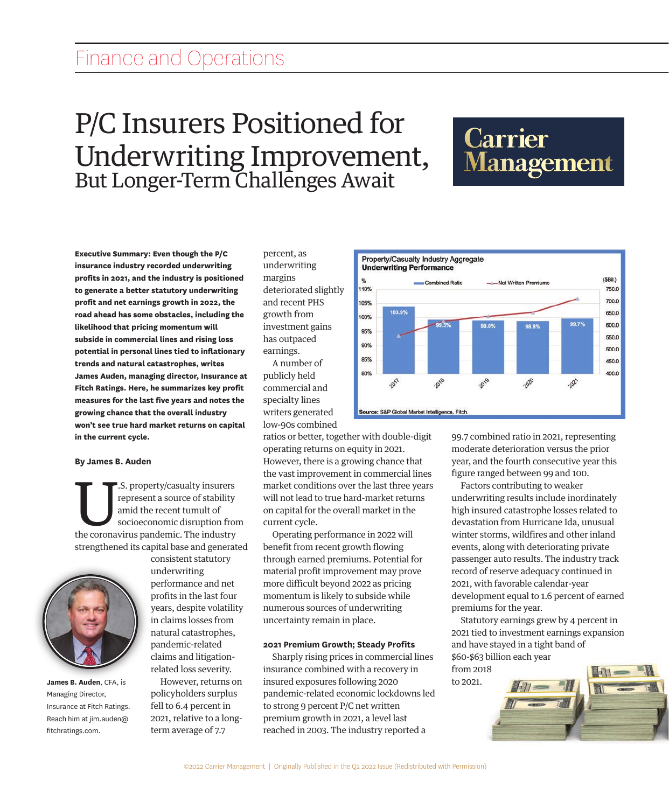# Finance and Operations Finance and Operations

## P/C Insurers Positioned for P/C Insurers Positioned for Underwriting Improvement, M But Longer-Term Challenges Await Underwriting Improvement, But Longer-Term Challenges Await

**Executive Summary: Even though the P/C insurance industry recorded underwriting insurance industry recorded underwriting profits in 2021, and the industry is positioned to generate a better statutory underwriting to generate a better statutory underwriting road ahead has some obstacles, including the profit and net earnings growth in 2022, the likelihood that pricing momentum will road ahead has some obstacles, including the subside in commercial lines and rising loss likelihood that pricing momentum will potential in personal lines tied to inflationary subside in commercial lines and rising loss trends and natural catastrophes, writes potential in personal lines tied to inflationary James Auden, managing director, Insurance at**  .<br>trends and natural catastrophes, writes **James Auden, managing director, Insurance at growing chance that the overall industry Fitch Ratings. Here, he summarizes key profit won't see true hard market returns on capital measures for the last five years and notes the in the current cycle. growing chance that the overall industry won't see true hard market returns on capital By James B. Auden in the current cycle. profit and net earnings growth in 2022, the measures for the last five years and notes the** 

#### **By James B. Auden**  $\mathbf{u}$  . Additionally

U.S. property/casualty insurers<br>
represent a source of stability<br>
amid the recent tumult of<br>
socioeconomic disruption from<br>
the coronavirus pandemic. The industry  $\blacksquare$  represent a source of stability amid the recent tumult of socioeconomic disruption from strengthened its capital base and generated I. the carrent cycle.<br>By James B. Auden<br>**T.** S. property/casualty insurers  $\Gamma$   $\Gamma$ . S. property/casualty insum-



**James B. Auden**, CFA, is Managing Director, Insurance at Fitch Ratings. Reach him at jim.auden@ fitchratings.com.

consistent statutory underwriting performance and net profits in the last four years, despite volatility in claims losses from natural catastrophes, pandemic-related particine relation-<br>claims and litigationrelated loss severity. consistent statut tianiis and nug

 However, returns on policyholders surplus fell to 6.4 percent in 2021, relative to a longterm average of 7.7

percent, as n<br>underwriting determining<br>determining in the margins deteriorated slightly and recent PHS **e** growth from investment gains has outpaced  $\mathbf y$  earnings.  $A$  number of a margins

at publicly held  $\epsilon$  commercial and **e** specialty lines writers generated **Sou I** low-90s combined  $\mathbf{u}$  publicly in

ratios or better, together with double-digit operating returns on equity in 2021. However, there is a growing chance that the vast improvement in commercial lines market conditions over the last three years will not lead to true hard-market returns on capital for the overall market in the n a current cycle. nowever, there is a growing

Operating performance in 2022 will d benefit from recent growth flowing through earned premiums. Potential for material profit improvement may prove more difficult beyond 2022 as pricing momentum is likely to subside while numerous sources of underwriting uncertainty remain in place. uncugh cannon pict pandemic-related economic lockdowns led

### 2021 Premium Growth; Steady Profits

state in community and the state of the Sharply rising prices in commercial lines insurance combined with a recovery in insured exposures following 2020 pandemic-related economic lockdowns led **10 mandemic-related economic lockdowns led** to strong 9 percent P/C net written premium growth in 2021, a level last reached in 2003. The industry reported a onal pry rising prices in comm



e-digit 99.7 combined ratio in 2021, representing moderate deterioration versus the prior we are according to the monoculture in the process that  $\gamma$  year, and the fourth consecutive year this l lines figure ranged between 99 and 100. had insured catastrophe losses related to the local control of the local control of the local control of the l

years Factors contributing to weaker urns underwriting results include inordinately ne bigh insured catastrophe losses related to devastation from Hurricane Ida, unusual ll winter storms, wildfires and other inland events, along with deteriorating private passenger auto results. The industry track ove ecord of reserve adequacy continued in 2021, with favorable calendar-year and have stayed in a tight band of development equal to 1.6 percent of earned premiums for the year. de passenger auto results. The

> Statutory earnings grew by 4 percent in 2021 tied to investment earnings expansion and have stayed in a tight band of \$60-\$63 billion each year

from 2018 to 2021.

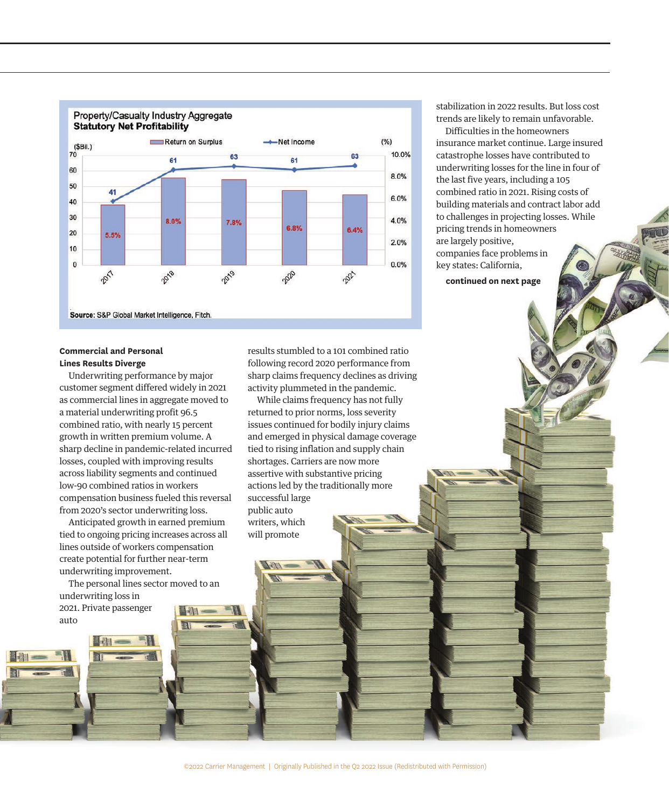

#### **Commercial and Personal Lines Results Diverge**

Underwriting performance by major customer segment differed widely in 2021 as commercial lines in aggregate moved to a material underwriting profit 96.5 combined ratio, with nearly 15 percent growth in written premium volume. A sharp decline in pandemic-related incurred losses, coupled with improving results across liability segments and continued low-90 combined ratios in workers compensation business fueled this reversal from 2020's sector underwriting loss.

Anticipated growth in earned premium tied to ongoing pricing increases across all lines outside of workers compensation create potential for further near-term underwriting improvement.

The personal lines sector moved to an underwriting loss in 2021. Private passenger

auto

results stumbled to a 101 combined ratio following record 2020 performance from sharp claims frequency declines as driving activity plummeted in the pandemic.

While claims frequency has not fully returned to prior norms, loss severity issues continued for bodily injury claims and emerged in physical damage coverage tied to rising inflation and supply chain shortages. Carriers are now more assertive with substantive pricing actions led by the traditionally more successful large public auto writers, which will promote

stabilization in 2022 results. But loss cost trends are likely to remain unfavorable.

Difficulties in the homeowners insurance market continue. Large insured catastrophe losses have contributed to underwriting losses for the line in four of the last five years, including a 105 combined ratio in 2021. Rising costs of building materials and contract labor add to challenges in projecting losses. While pricing trends in homeowners are largely positive, companies face problems in key states: California,

**continued on next page**

©2022 Carrier Management | Originally Published in the Q2 2022 Issue (Redistributed with Permission)